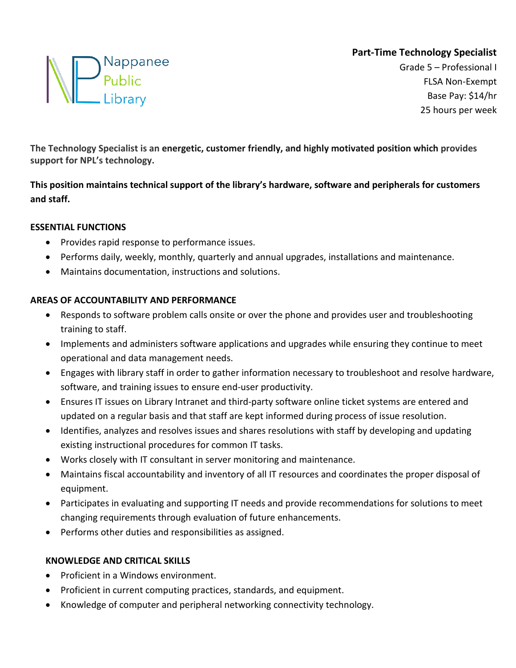# **Part-Time Technology Specialist**



Grade 5 – Professional I FLSA Non-Exempt Base Pay: \$14/hr 25 hours per week

**The Technology Specialist is an energetic, customer friendly, and highly motivated position which provides support for NPL's technology.**

**This position maintains technical support of the library's hardware, software and peripherals for customers and staff.**

### **ESSENTIAL FUNCTIONS**

- Provides rapid response to performance issues.
- Performs daily, weekly, monthly, quarterly and annual upgrades, installations and maintenance.
- Maintains documentation, instructions and solutions.

### **AREAS OF ACCOUNTABILITY AND PERFORMANCE**

- Responds to software problem calls onsite or over the phone and provides user and troubleshooting training to staff.
- Implements and administers software applications and upgrades while ensuring they continue to meet operational and data management needs.
- Engages with library staff in order to gather information necessary to troubleshoot and resolve hardware, software, and training issues to ensure end-user productivity.
- Ensures IT issues on Library Intranet and third-party software online ticket systems are entered and updated on a regular basis and that staff are kept informed during process of issue resolution.
- Identifies, analyzes and resolves issues and shares resolutions with staff by developing and updating existing instructional procedures for common IT tasks.
- Works closely with IT consultant in server monitoring and maintenance.
- Maintains fiscal accountability and inventory of all IT resources and coordinates the proper disposal of equipment.
- Participates in evaluating and supporting IT needs and provide recommendations for solutions to meet changing requirements through evaluation of future enhancements.
- Performs other duties and responsibilities as assigned.

## **KNOWLEDGE AND CRITICAL SKILLS**

- Proficient in a Windows environment.
- Proficient in current computing practices, standards, and equipment.
- Knowledge of computer and peripheral networking connectivity technology.